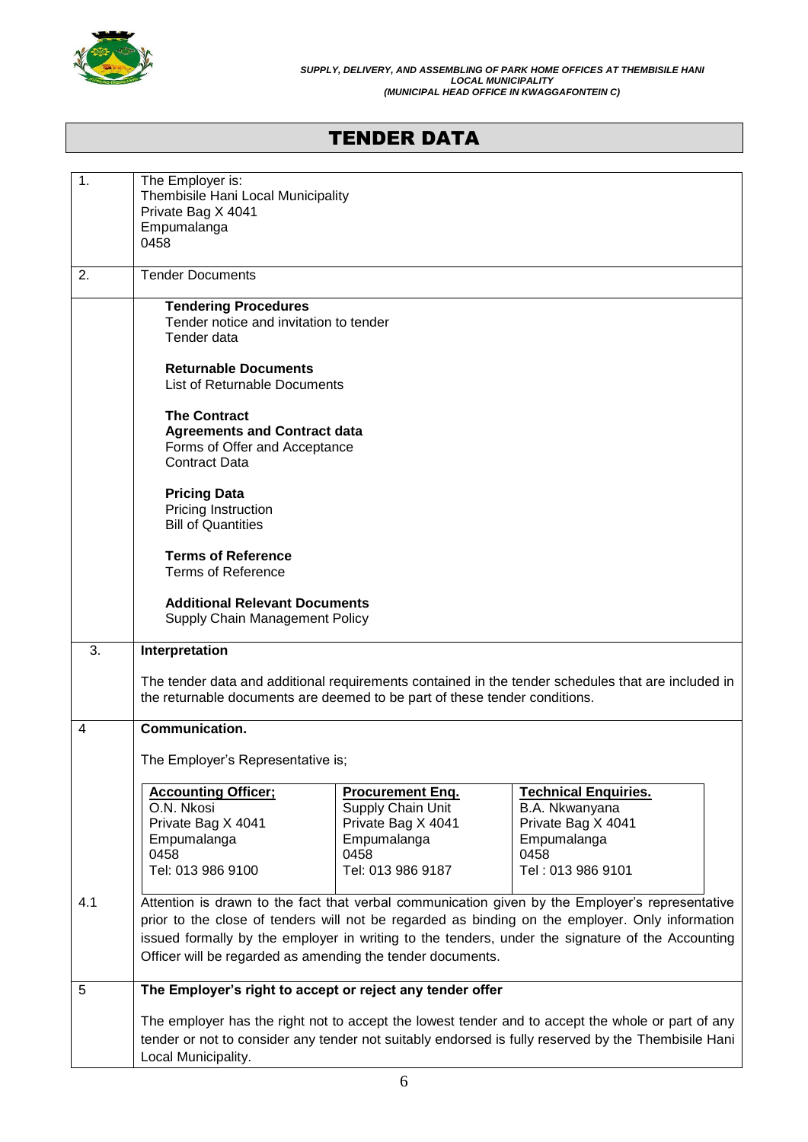

# TENDER DATA

| 1.  | The Employer is:<br>Thembisile Hani Local Municipality<br>Private Bag X 4041<br>Empumalanga<br>0458                                                                                                                                                                                                                                                                  |                                                                                                                |                                                                                                                 |  |  |
|-----|----------------------------------------------------------------------------------------------------------------------------------------------------------------------------------------------------------------------------------------------------------------------------------------------------------------------------------------------------------------------|----------------------------------------------------------------------------------------------------------------|-----------------------------------------------------------------------------------------------------------------|--|--|
| 2.  | <b>Tender Documents</b>                                                                                                                                                                                                                                                                                                                                              |                                                                                                                |                                                                                                                 |  |  |
|     | <b>Tendering Procedures</b><br>Tender notice and invitation to tender<br>Tender data                                                                                                                                                                                                                                                                                 |                                                                                                                |                                                                                                                 |  |  |
|     | <b>Returnable Documents</b><br><b>List of Returnable Documents</b>                                                                                                                                                                                                                                                                                                   |                                                                                                                |                                                                                                                 |  |  |
|     | <b>The Contract</b><br><b>Agreements and Contract data</b><br>Forms of Offer and Acceptance<br><b>Contract Data</b>                                                                                                                                                                                                                                                  |                                                                                                                |                                                                                                                 |  |  |
|     | <b>Pricing Data</b><br>Pricing Instruction<br><b>Bill of Quantities</b>                                                                                                                                                                                                                                                                                              |                                                                                                                |                                                                                                                 |  |  |
|     | <b>Terms of Reference</b><br><b>Terms of Reference</b>                                                                                                                                                                                                                                                                                                               |                                                                                                                |                                                                                                                 |  |  |
|     | <b>Additional Relevant Documents</b><br>Supply Chain Management Policy                                                                                                                                                                                                                                                                                               |                                                                                                                |                                                                                                                 |  |  |
| 3.  | Interpretation                                                                                                                                                                                                                                                                                                                                                       |                                                                                                                |                                                                                                                 |  |  |
|     | The tender data and additional requirements contained in the tender schedules that are included in<br>the returnable documents are deemed to be part of these tender conditions.                                                                                                                                                                                     |                                                                                                                |                                                                                                                 |  |  |
| 4   | Communication.                                                                                                                                                                                                                                                                                                                                                       |                                                                                                                |                                                                                                                 |  |  |
|     | The Employer's Representative is;                                                                                                                                                                                                                                                                                                                                    |                                                                                                                |                                                                                                                 |  |  |
|     | <b>Accounting Officer:</b><br>O.N. Nkosi<br>Private Bag X 4041<br>Empumalanga<br>0458<br>Tel: 013 986 9100                                                                                                                                                                                                                                                           | <b>Procurement Eng.</b><br>Supply Chain Unit<br>Private Bag X 4041<br>Empumalanga<br>0458<br>Tel: 013 986 9187 | <b>Technical Enquiries.</b><br>B.A. Nkwanyana<br>Private Bag X 4041<br>Empumalanga<br>0458<br>Tel: 013 986 9101 |  |  |
| 4.1 | Attention is drawn to the fact that verbal communication given by the Employer's representative<br>prior to the close of tenders will not be regarded as binding on the employer. Only information<br>issued formally by the employer in writing to the tenders, under the signature of the Accounting<br>Officer will be regarded as amending the tender documents. |                                                                                                                |                                                                                                                 |  |  |
| 5   | The Employer's right to accept or reject any tender offer                                                                                                                                                                                                                                                                                                            |                                                                                                                |                                                                                                                 |  |  |
|     | The employer has the right not to accept the lowest tender and to accept the whole or part of any<br>tender or not to consider any tender not suitably endorsed is fully reserved by the Thembisile Hani<br>Local Municipality.                                                                                                                                      |                                                                                                                |                                                                                                                 |  |  |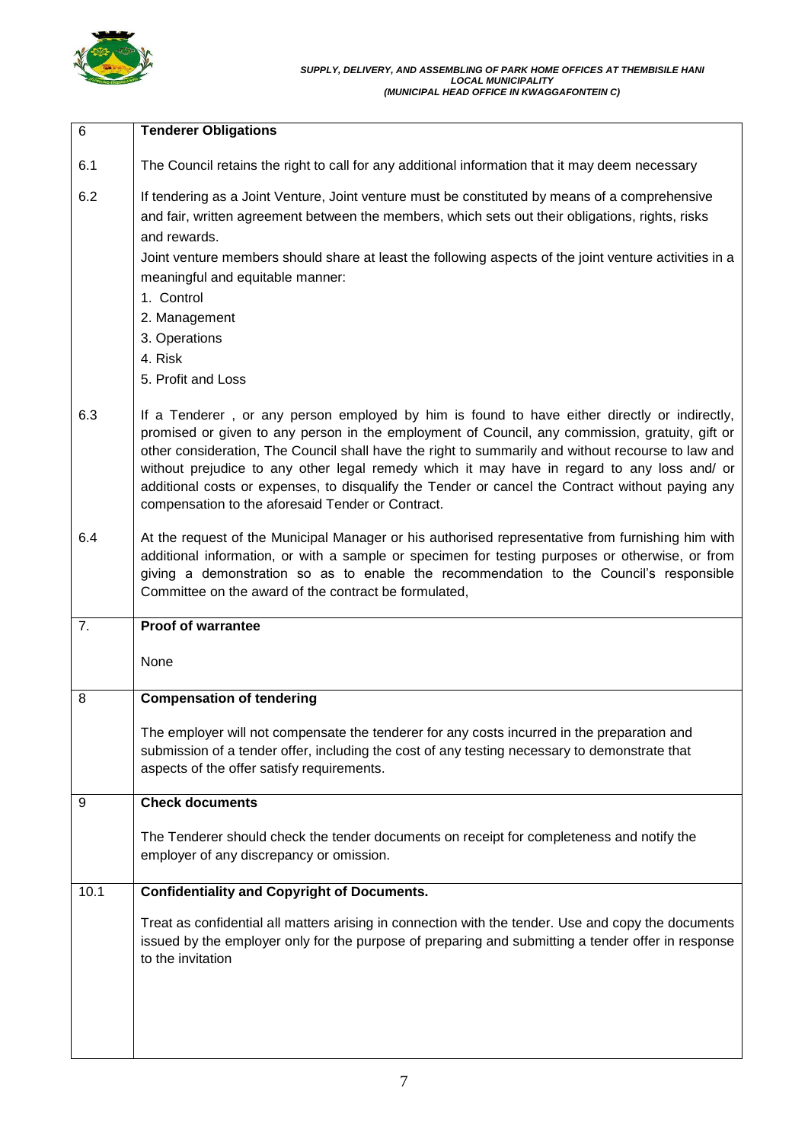

| $6\phantom{1}$ | <b>Tenderer Obligations</b>                                                                                                                                                                                                                                                                                                                                                                                                                                                                                                                                   |  |  |
|----------------|---------------------------------------------------------------------------------------------------------------------------------------------------------------------------------------------------------------------------------------------------------------------------------------------------------------------------------------------------------------------------------------------------------------------------------------------------------------------------------------------------------------------------------------------------------------|--|--|
| 6.1            | The Council retains the right to call for any additional information that it may deem necessary                                                                                                                                                                                                                                                                                                                                                                                                                                                               |  |  |
|                |                                                                                                                                                                                                                                                                                                                                                                                                                                                                                                                                                               |  |  |
| 6.2            | If tendering as a Joint Venture, Joint venture must be constituted by means of a comprehensive<br>and fair, written agreement between the members, which sets out their obligations, rights, risks                                                                                                                                                                                                                                                                                                                                                            |  |  |
|                | and rewards.                                                                                                                                                                                                                                                                                                                                                                                                                                                                                                                                                  |  |  |
|                | Joint venture members should share at least the following aspects of the joint venture activities in a                                                                                                                                                                                                                                                                                                                                                                                                                                                        |  |  |
|                | meaningful and equitable manner:                                                                                                                                                                                                                                                                                                                                                                                                                                                                                                                              |  |  |
|                | 1. Control                                                                                                                                                                                                                                                                                                                                                                                                                                                                                                                                                    |  |  |
|                | 2. Management                                                                                                                                                                                                                                                                                                                                                                                                                                                                                                                                                 |  |  |
|                | 3. Operations                                                                                                                                                                                                                                                                                                                                                                                                                                                                                                                                                 |  |  |
|                | 4. Risk                                                                                                                                                                                                                                                                                                                                                                                                                                                                                                                                                       |  |  |
|                | 5. Profit and Loss                                                                                                                                                                                                                                                                                                                                                                                                                                                                                                                                            |  |  |
| 6.3            | If a Tenderer, or any person employed by him is found to have either directly or indirectly,<br>promised or given to any person in the employment of Council, any commission, gratuity, gift or<br>other consideration, The Council shall have the right to summarily and without recourse to law and<br>without prejudice to any other legal remedy which it may have in regard to any loss and/ or<br>additional costs or expenses, to disqualify the Tender or cancel the Contract without paying any<br>compensation to the aforesaid Tender or Contract. |  |  |
| 6.4            | At the request of the Municipal Manager or his authorised representative from furnishing him with<br>additional information, or with a sample or specimen for testing purposes or otherwise, or from<br>giving a demonstration so as to enable the recommendation to the Council's responsible<br>Committee on the award of the contract be formulated,                                                                                                                                                                                                       |  |  |
| 7.             | Proof of warrantee                                                                                                                                                                                                                                                                                                                                                                                                                                                                                                                                            |  |  |
|                | None                                                                                                                                                                                                                                                                                                                                                                                                                                                                                                                                                          |  |  |
| 8              | <b>Compensation of tendering</b>                                                                                                                                                                                                                                                                                                                                                                                                                                                                                                                              |  |  |
|                | The employer will not compensate the tenderer for any costs incurred in the preparation and<br>submission of a tender offer, including the cost of any testing necessary to demonstrate that<br>aspects of the offer satisfy requirements.                                                                                                                                                                                                                                                                                                                    |  |  |
| 9              | <b>Check documents</b>                                                                                                                                                                                                                                                                                                                                                                                                                                                                                                                                        |  |  |
|                | The Tenderer should check the tender documents on receipt for completeness and notify the<br>employer of any discrepancy or omission.                                                                                                                                                                                                                                                                                                                                                                                                                         |  |  |
| 10.1           | <b>Confidentiality and Copyright of Documents.</b>                                                                                                                                                                                                                                                                                                                                                                                                                                                                                                            |  |  |
|                | Treat as confidential all matters arising in connection with the tender. Use and copy the documents<br>issued by the employer only for the purpose of preparing and submitting a tender offer in response<br>to the invitation                                                                                                                                                                                                                                                                                                                                |  |  |
|                |                                                                                                                                                                                                                                                                                                                                                                                                                                                                                                                                                               |  |  |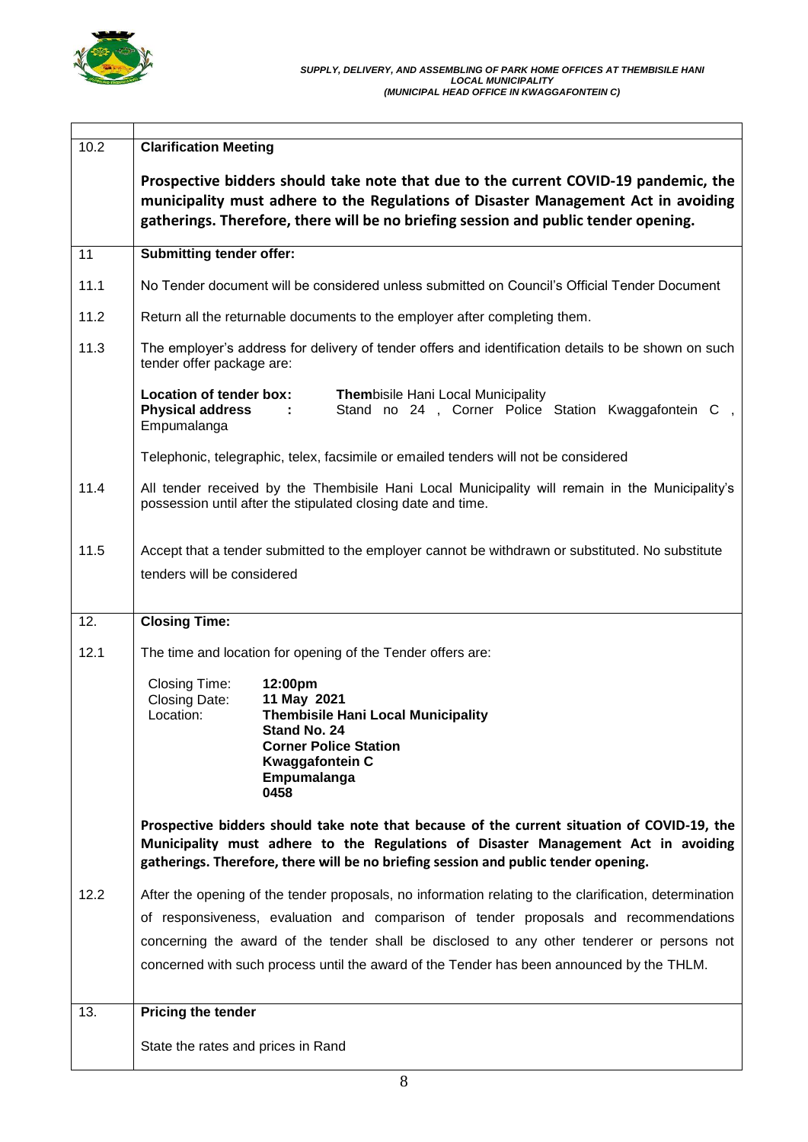

 $\overline{1}$ 

| 10.2 | <b>Clarification Meeting</b>                                                                                                                                                                                                                                                                                                                                                              |  |  |
|------|-------------------------------------------------------------------------------------------------------------------------------------------------------------------------------------------------------------------------------------------------------------------------------------------------------------------------------------------------------------------------------------------|--|--|
|      | Prospective bidders should take note that due to the current COVID-19 pandemic, the<br>municipality must adhere to the Regulations of Disaster Management Act in avoiding<br>gatherings. Therefore, there will be no briefing session and public tender opening.                                                                                                                          |  |  |
| 11   | <b>Submitting tender offer:</b>                                                                                                                                                                                                                                                                                                                                                           |  |  |
| 11.1 | No Tender document will be considered unless submitted on Council's Official Tender Document                                                                                                                                                                                                                                                                                              |  |  |
| 11.2 | Return all the returnable documents to the employer after completing them.                                                                                                                                                                                                                                                                                                                |  |  |
| 11.3 | The employer's address for delivery of tender offers and identification details to be shown on such<br>tender offer package are:                                                                                                                                                                                                                                                          |  |  |
|      | Location of tender box:<br>Thembisile Hani Local Municipality<br><b>Physical address</b><br>Stand no 24, Corner Police Station Kwaggafontein C,<br>$\sim$ 100 $\pm$<br>Empumalanga                                                                                                                                                                                                        |  |  |
|      | Telephonic, telegraphic, telex, facsimile or emailed tenders will not be considered                                                                                                                                                                                                                                                                                                       |  |  |
| 11.4 | All tender received by the Thembisile Hani Local Municipality will remain in the Municipality's<br>possession until after the stipulated closing date and time.                                                                                                                                                                                                                           |  |  |
| 11.5 | Accept that a tender submitted to the employer cannot be withdrawn or substituted. No substitute<br>tenders will be considered                                                                                                                                                                                                                                                            |  |  |
| 12.  | <b>Closing Time:</b>                                                                                                                                                                                                                                                                                                                                                                      |  |  |
| 12.1 | The time and location for opening of the Tender offers are:                                                                                                                                                                                                                                                                                                                               |  |  |
|      | Closing Time:<br>12:00pm<br>Closing Date:<br>11 May 2021<br>Location:<br><b>Thembisile Hani Local Municipality</b><br>Stand No. 24<br><b>Corner Police Station</b><br><b>Kwaggafontein C</b><br>Empumalanga<br>0458                                                                                                                                                                       |  |  |
|      | Prospective bidders should take note that because of the current situation of COVID-19, the<br>Municipality must adhere to the Regulations of Disaster Management Act in avoiding<br>gatherings. Therefore, there will be no briefing session and public tender opening.                                                                                                                  |  |  |
| 12.2 | After the opening of the tender proposals, no information relating to the clarification, determination<br>of responsiveness, evaluation and comparison of tender proposals and recommendations<br>concerning the award of the tender shall be disclosed to any other tenderer or persons not<br>concerned with such process until the award of the Tender has been announced by the THLM. |  |  |
| 13.  | Pricing the tender                                                                                                                                                                                                                                                                                                                                                                        |  |  |
|      | State the rates and prices in Rand                                                                                                                                                                                                                                                                                                                                                        |  |  |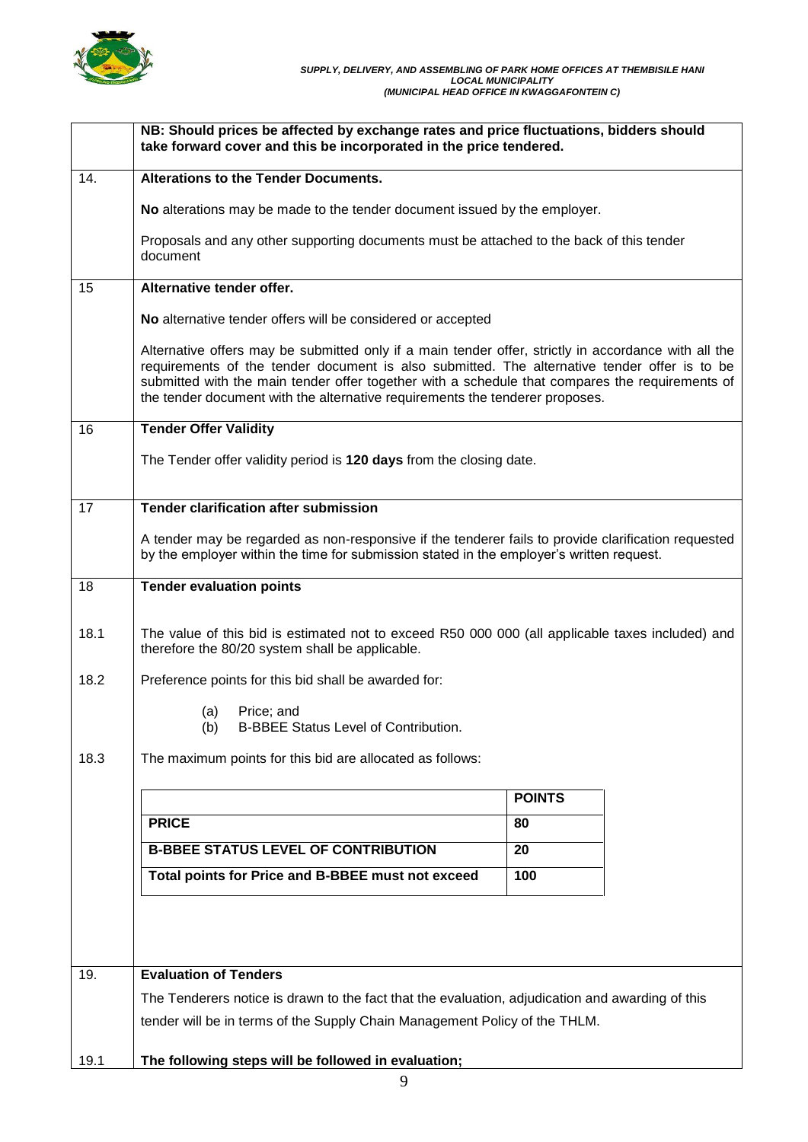

|      | NB: Should prices be affected by exchange rates and price fluctuations, bidders should<br>take forward cover and this be incorporated in the price tendered.                                                                                                                                                                                                                            |               |  |  |
|------|-----------------------------------------------------------------------------------------------------------------------------------------------------------------------------------------------------------------------------------------------------------------------------------------------------------------------------------------------------------------------------------------|---------------|--|--|
| 14.  | Alterations to the Tender Documents.                                                                                                                                                                                                                                                                                                                                                    |               |  |  |
|      | No alterations may be made to the tender document issued by the employer.                                                                                                                                                                                                                                                                                                               |               |  |  |
|      | Proposals and any other supporting documents must be attached to the back of this tender<br>document                                                                                                                                                                                                                                                                                    |               |  |  |
| 15   | Alternative tender offer.                                                                                                                                                                                                                                                                                                                                                               |               |  |  |
|      | No alternative tender offers will be considered or accepted                                                                                                                                                                                                                                                                                                                             |               |  |  |
|      | Alternative offers may be submitted only if a main tender offer, strictly in accordance with all the<br>requirements of the tender document is also submitted. The alternative tender offer is to be<br>submitted with the main tender offer together with a schedule that compares the requirements of<br>the tender document with the alternative requirements the tenderer proposes. |               |  |  |
| 16   | <b>Tender Offer Validity</b>                                                                                                                                                                                                                                                                                                                                                            |               |  |  |
|      | The Tender offer validity period is 120 days from the closing date.                                                                                                                                                                                                                                                                                                                     |               |  |  |
| 17   | <b>Tender clarification after submission</b>                                                                                                                                                                                                                                                                                                                                            |               |  |  |
|      | A tender may be regarded as non-responsive if the tenderer fails to provide clarification requested<br>by the employer within the time for submission stated in the employer's written request.                                                                                                                                                                                         |               |  |  |
| 18   | <b>Tender evaluation points</b>                                                                                                                                                                                                                                                                                                                                                         |               |  |  |
| 18.1 | The value of this bid is estimated not to exceed R50 000 000 (all applicable taxes included) and<br>therefore the 80/20 system shall be applicable.                                                                                                                                                                                                                                     |               |  |  |
| 18.2 | Preference points for this bid shall be awarded for:                                                                                                                                                                                                                                                                                                                                    |               |  |  |
|      | (a)<br>Price; and<br>(b)<br><b>B-BBEE Status Level of Contribution.</b>                                                                                                                                                                                                                                                                                                                 |               |  |  |
| 18.3 | The maximum points for this bid are allocated as follows:                                                                                                                                                                                                                                                                                                                               |               |  |  |
|      |                                                                                                                                                                                                                                                                                                                                                                                         | <b>POINTS</b> |  |  |
|      | <b>PRICE</b>                                                                                                                                                                                                                                                                                                                                                                            | 80            |  |  |
|      | <b>B-BBEE STATUS LEVEL OF CONTRIBUTION</b>                                                                                                                                                                                                                                                                                                                                              | 20            |  |  |
|      | 100                                                                                                                                                                                                                                                                                                                                                                                     |               |  |  |
|      |                                                                                                                                                                                                                                                                                                                                                                                         |               |  |  |
| 19.  | <b>Evaluation of Tenders</b>                                                                                                                                                                                                                                                                                                                                                            |               |  |  |
|      | The Tenderers notice is drawn to the fact that the evaluation, adjudication and awarding of this                                                                                                                                                                                                                                                                                        |               |  |  |
|      | tender will be in terms of the Supply Chain Management Policy of the THLM.                                                                                                                                                                                                                                                                                                              |               |  |  |
| 19.1 | The following steps will be followed in evaluation;                                                                                                                                                                                                                                                                                                                                     |               |  |  |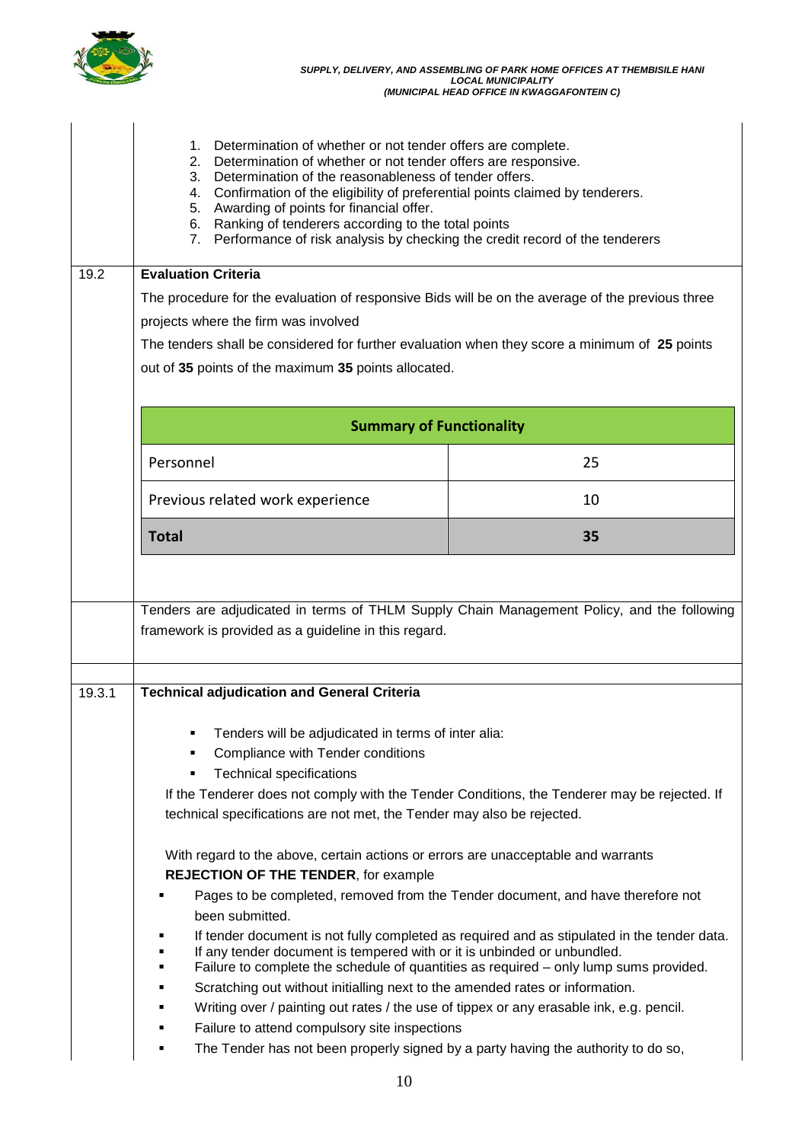

|                                    | Determination of whether or not tender offers are complete.<br>1.<br>2. Determination of whether or not tender offers are responsive.<br>3. Determination of the reasonableness of tender offers.<br>4. Confirmation of the eligibility of preferential points claimed by tenderers.<br>5. Awarding of points for financial offer.<br>6. Ranking of tenderers according to the total points<br>Performance of risk analysis by checking the credit record of the tenderers<br>7. |                                                                                                                                                                                      |  |  |  |
|------------------------------------|----------------------------------------------------------------------------------------------------------------------------------------------------------------------------------------------------------------------------------------------------------------------------------------------------------------------------------------------------------------------------------------------------------------------------------------------------------------------------------|--------------------------------------------------------------------------------------------------------------------------------------------------------------------------------------|--|--|--|
| <b>Evaluation Criteria</b><br>19.2 |                                                                                                                                                                                                                                                                                                                                                                                                                                                                                  |                                                                                                                                                                                      |  |  |  |
|                                    | The procedure for the evaluation of responsive Bids will be on the average of the previous three                                                                                                                                                                                                                                                                                                                                                                                 |                                                                                                                                                                                      |  |  |  |
|                                    | projects where the firm was involved                                                                                                                                                                                                                                                                                                                                                                                                                                             |                                                                                                                                                                                      |  |  |  |
|                                    | The tenders shall be considered for further evaluation when they score a minimum of 25 points                                                                                                                                                                                                                                                                                                                                                                                    |                                                                                                                                                                                      |  |  |  |
|                                    | out of 35 points of the maximum 35 points allocated.                                                                                                                                                                                                                                                                                                                                                                                                                             |                                                                                                                                                                                      |  |  |  |
|                                    |                                                                                                                                                                                                                                                                                                                                                                                                                                                                                  |                                                                                                                                                                                      |  |  |  |
|                                    | <b>Summary of Functionality</b>                                                                                                                                                                                                                                                                                                                                                                                                                                                  |                                                                                                                                                                                      |  |  |  |
|                                    | Personnel                                                                                                                                                                                                                                                                                                                                                                                                                                                                        | 25                                                                                                                                                                                   |  |  |  |
|                                    | Previous related work experience                                                                                                                                                                                                                                                                                                                                                                                                                                                 | 10                                                                                                                                                                                   |  |  |  |
|                                    | <b>Total</b>                                                                                                                                                                                                                                                                                                                                                                                                                                                                     | 35                                                                                                                                                                                   |  |  |  |
|                                    | Tenders are adjudicated in terms of THLM Supply Chain Management Policy, and the following<br>framework is provided as a guideline in this regard.                                                                                                                                                                                                                                                                                                                               |                                                                                                                                                                                      |  |  |  |
| 19.3.1                             | <b>Technical adjudication and General Criteria</b>                                                                                                                                                                                                                                                                                                                                                                                                                               |                                                                                                                                                                                      |  |  |  |
|                                    | Tenders will be adjudicated in terms of inter alia:<br>Compliance with Tender conditions<br><b>Technical specifications</b><br>If the Tenderer does not comply with the Tender Conditions, the Tenderer may be rejected. If<br>technical specifications are not met, the Tender may also be rejected.                                                                                                                                                                            |                                                                                                                                                                                      |  |  |  |
|                                    | With regard to the above, certain actions or errors are unacceptable and warrants<br><b>REJECTION OF THE TENDER, for example</b><br>Pages to be completed, removed from the Tender document, and have therefore not<br>been submitted.                                                                                                                                                                                                                                           |                                                                                                                                                                                      |  |  |  |
|                                    | п<br>If any tender document is tempered with or it is unbinded or unbundled.<br>٠                                                                                                                                                                                                                                                                                                                                                                                                | If tender document is not fully completed as required and as stipulated in the tender data.<br>Failure to complete the schedule of quantities as required - only lump sums provided. |  |  |  |
|                                    | Scratching out without initialling next to the amended rates or information.                                                                                                                                                                                                                                                                                                                                                                                                     |                                                                                                                                                                                      |  |  |  |
|                                    | Writing over / painting out rates / the use of tippex or any erasable ink, e.g. pencil.<br>٠                                                                                                                                                                                                                                                                                                                                                                                     |                                                                                                                                                                                      |  |  |  |
|                                    | Failure to attend compulsory site inspections<br>٠                                                                                                                                                                                                                                                                                                                                                                                                                               |                                                                                                                                                                                      |  |  |  |
|                                    | The Tender has not been properly signed by a party having the authority to do so,                                                                                                                                                                                                                                                                                                                                                                                                |                                                                                                                                                                                      |  |  |  |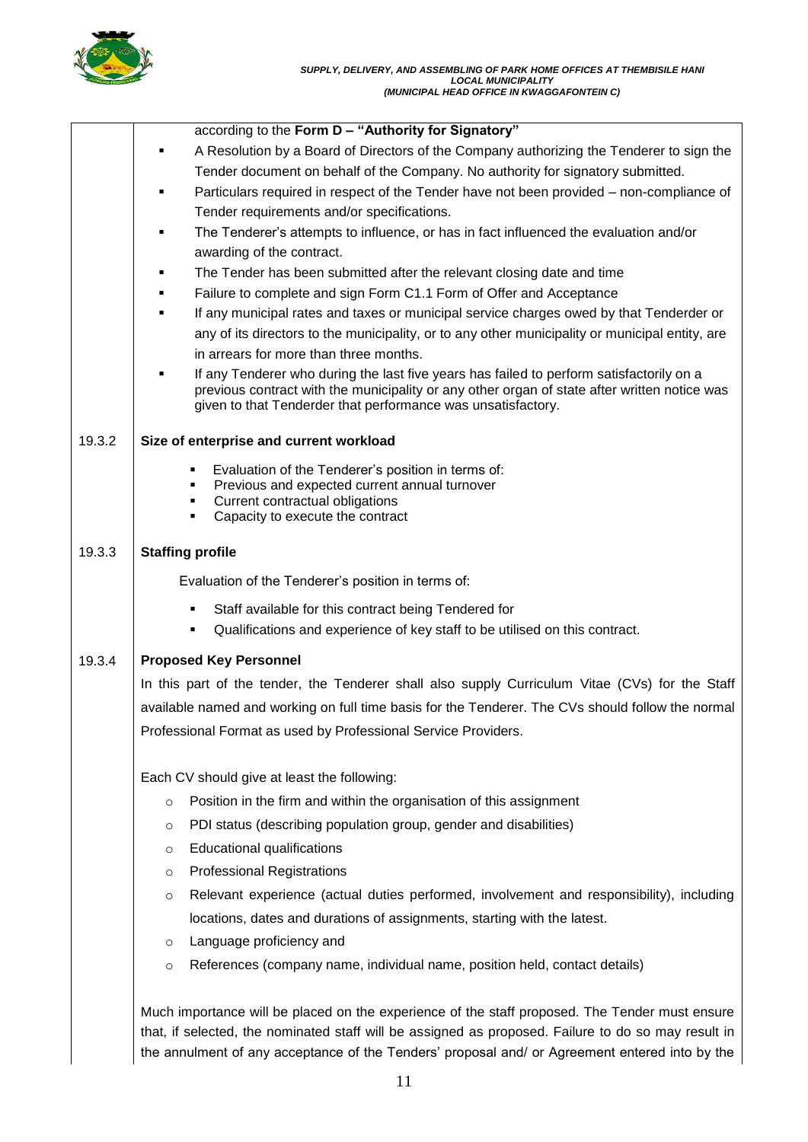

|        | according to the Form D - "Authority for Signatory"                                                                                                                                                                                                                                                     |
|--------|---------------------------------------------------------------------------------------------------------------------------------------------------------------------------------------------------------------------------------------------------------------------------------------------------------|
|        | A Resolution by a Board of Directors of the Company authorizing the Tenderer to sign the                                                                                                                                                                                                                |
|        | Tender document on behalf of the Company. No authority for signatory submitted.                                                                                                                                                                                                                         |
|        | Particulars required in respect of the Tender have not been provided – non-compliance of<br>٠                                                                                                                                                                                                           |
|        | Tender requirements and/or specifications.                                                                                                                                                                                                                                                              |
|        | The Tenderer's attempts to influence, or has in fact influenced the evaluation and/or                                                                                                                                                                                                                   |
|        | awarding of the contract.                                                                                                                                                                                                                                                                               |
|        | The Tender has been submitted after the relevant closing date and time                                                                                                                                                                                                                                  |
|        | Failure to complete and sign Form C1.1 Form of Offer and Acceptance                                                                                                                                                                                                                                     |
|        | If any municipal rates and taxes or municipal service charges owed by that Tenderder or                                                                                                                                                                                                                 |
|        | any of its directors to the municipality, or to any other municipality or municipal entity, are                                                                                                                                                                                                         |
|        | in arrears for more than three months.                                                                                                                                                                                                                                                                  |
|        | If any Tenderer who during the last five years has failed to perform satisfactorily on a<br>previous contract with the municipality or any other organ of state after written notice was<br>given to that Tenderder that performance was unsatisfactory.                                                |
| 19.3.2 | Size of enterprise and current workload                                                                                                                                                                                                                                                                 |
|        | Evaluation of the Tenderer's position in terms of:<br>٠                                                                                                                                                                                                                                                 |
|        | Previous and expected current annual turnover<br>٠                                                                                                                                                                                                                                                      |
|        | Current contractual obligations<br>٠<br>Capacity to execute the contract<br>٠                                                                                                                                                                                                                           |
|        |                                                                                                                                                                                                                                                                                                         |
| 19.3.3 | <b>Staffing profile</b>                                                                                                                                                                                                                                                                                 |
|        | Evaluation of the Tenderer's position in terms of:                                                                                                                                                                                                                                                      |
|        | Staff available for this contract being Tendered for<br>٠                                                                                                                                                                                                                                               |
|        | Qualifications and experience of key staff to be utilised on this contract.<br>٠                                                                                                                                                                                                                        |
| 19.3.4 | <b>Proposed Key Personnel</b>                                                                                                                                                                                                                                                                           |
|        | In this part of the tender, the Tenderer shall also supply Curriculum Vitae (CVs) for the Staff                                                                                                                                                                                                         |
|        | available named and working on full time basis for the Tenderer. The CVs should follow the normal                                                                                                                                                                                                       |
|        | Professional Format as used by Professional Service Providers.                                                                                                                                                                                                                                          |
|        |                                                                                                                                                                                                                                                                                                         |
|        | Each CV should give at least the following:                                                                                                                                                                                                                                                             |
|        | Position in the firm and within the organisation of this assignment<br>$\circ$                                                                                                                                                                                                                          |
|        | PDI status (describing population group, gender and disabilities)<br>O                                                                                                                                                                                                                                  |
|        | Educational qualifications<br>$\circ$                                                                                                                                                                                                                                                                   |
|        | <b>Professional Registrations</b><br>$\circ$                                                                                                                                                                                                                                                            |
|        | Relevant experience (actual duties performed, involvement and responsibility), including<br>$\circ$                                                                                                                                                                                                     |
|        | locations, dates and durations of assignments, starting with the latest.                                                                                                                                                                                                                                |
|        | Language proficiency and<br>$\circ$                                                                                                                                                                                                                                                                     |
|        | References (company name, individual name, position held, contact details)<br>$\circ$                                                                                                                                                                                                                   |
|        |                                                                                                                                                                                                                                                                                                         |
|        | Much importance will be placed on the experience of the staff proposed. The Tender must ensure<br>that, if selected, the nominated staff will be assigned as proposed. Failure to do so may result in<br>the annulment of any acceptance of the Tenders' proposal and/ or Agreement entered into by the |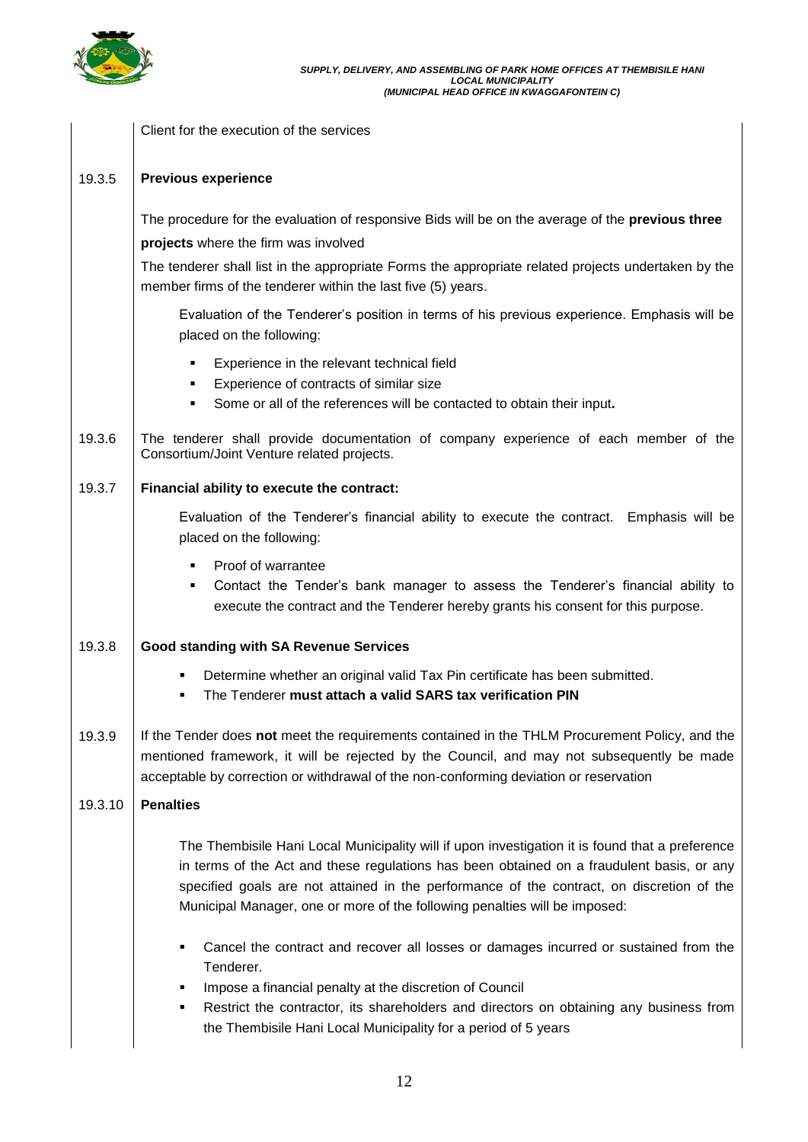

|         | Client for the execution of the services                                                                                                                                                                                                                                                                                                                                |  |  |  |
|---------|-------------------------------------------------------------------------------------------------------------------------------------------------------------------------------------------------------------------------------------------------------------------------------------------------------------------------------------------------------------------------|--|--|--|
| 19.3.5  | <b>Previous experience</b>                                                                                                                                                                                                                                                                                                                                              |  |  |  |
|         | The procedure for the evaluation of responsive Bids will be on the average of the previous three<br>projects where the firm was involved<br>The tenderer shall list in the appropriate Forms the appropriate related projects undertaken by the<br>member firms of the tenderer within the last five (5) years.                                                         |  |  |  |
|         | Evaluation of the Tenderer's position in terms of his previous experience. Emphasis will be<br>placed on the following:                                                                                                                                                                                                                                                 |  |  |  |
|         | Experience in the relevant technical field<br>٠<br>Experience of contracts of similar size<br>Some or all of the references will be contacted to obtain their input.<br>٠                                                                                                                                                                                               |  |  |  |
| 19.3.6  | The tenderer shall provide documentation of company experience of each member of the<br>Consortium/Joint Venture related projects.                                                                                                                                                                                                                                      |  |  |  |
| 19.3.7  | Financial ability to execute the contract:                                                                                                                                                                                                                                                                                                                              |  |  |  |
|         | Evaluation of the Tenderer's financial ability to execute the contract. Emphasis will be<br>placed on the following:                                                                                                                                                                                                                                                    |  |  |  |
|         | Proof of warrantee<br>٠<br>Contact the Tender's bank manager to assess the Tenderer's financial ability to<br>execute the contract and the Tenderer hereby grants his consent for this purpose.                                                                                                                                                                         |  |  |  |
| 19.3.8  | <b>Good standing with SA Revenue Services</b>                                                                                                                                                                                                                                                                                                                           |  |  |  |
|         | Determine whether an original valid Tax Pin certificate has been submitted.<br>The Tenderer must attach a valid SARS tax verification PIN                                                                                                                                                                                                                               |  |  |  |
| 19.3.9  | If the Tender does not meet the requirements contained in the THLM Procurement Policy, and the<br>mentioned framework, it will be rejected by the Council, and may not subsequently be made<br>acceptable by correction or withdrawal of the non-conforming deviation or reservation                                                                                    |  |  |  |
| 19.3.10 | <b>Penalties</b>                                                                                                                                                                                                                                                                                                                                                        |  |  |  |
|         | The Thembisile Hani Local Municipality will if upon investigation it is found that a preference<br>in terms of the Act and these regulations has been obtained on a fraudulent basis, or any<br>specified goals are not attained in the performance of the contract, on discretion of the<br>Municipal Manager, one or more of the following penalties will be imposed: |  |  |  |
|         | Cancel the contract and recover all losses or damages incurred or sustained from the<br>Tenderer.<br>Impose a financial penalty at the discretion of Council<br>Restrict the contractor, its shareholders and directors on obtaining any business from<br>٠<br>the Thembisile Hani Local Municipality for a period of 5 years                                           |  |  |  |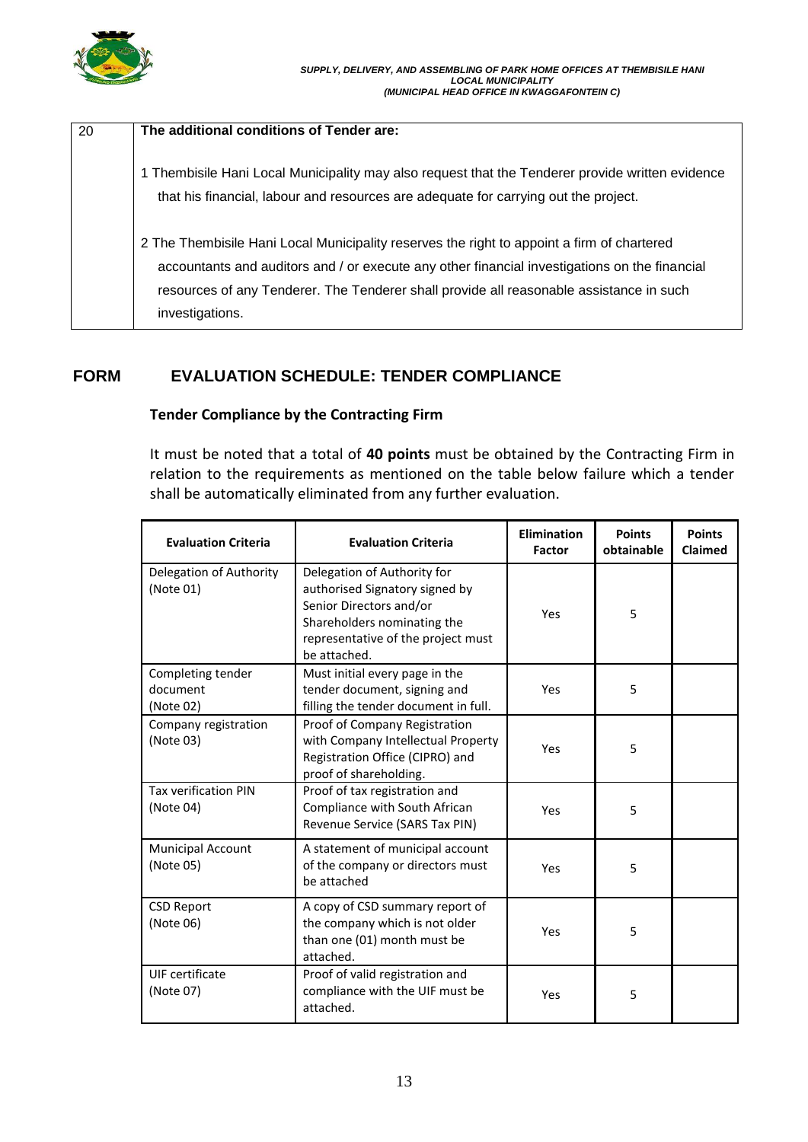

| 20 | The additional conditions of Tender are:                                                                                                                                                                                                                                                                  |
|----|-----------------------------------------------------------------------------------------------------------------------------------------------------------------------------------------------------------------------------------------------------------------------------------------------------------|
|    |                                                                                                                                                                                                                                                                                                           |
|    | 1 Thembisile Hani Local Municipality may also request that the Tenderer provide written evidence<br>that his financial, labour and resources are adequate for carrying out the project.                                                                                                                   |
|    | 2 The Thembisile Hani Local Municipality reserves the right to appoint a firm of chartered<br>accountants and auditors and / or execute any other financial investigations on the financial<br>resources of any Tenderer. The Tenderer shall provide all reasonable assistance in such<br>investigations. |

# **FORM EVALUATION SCHEDULE: TENDER COMPLIANCE**

## **Tender Compliance by the Contracting Firm**

It must be noted that a total of **40 points** must be obtained by the Contracting Firm in relation to the requirements as mentioned on the table below failure which a tender shall be automatically eliminated from any further evaluation.

| <b>Evaluation Criteria</b>                                                                                                   | <b>Evaluation Criteria</b>                                                                                                                                                           | <b>Elimination</b><br><b>Factor</b> | <b>Points</b><br>obtainable | <b>Points</b><br><b>Claimed</b> |
|------------------------------------------------------------------------------------------------------------------------------|--------------------------------------------------------------------------------------------------------------------------------------------------------------------------------------|-------------------------------------|-----------------------------|---------------------------------|
| Delegation of Authority<br>(Note 01)                                                                                         | Delegation of Authority for<br>authorised Signatory signed by<br>Senior Directors and/or<br>Yes<br>Shareholders nominating the<br>representative of the project must<br>be attached. |                                     | 5                           |                                 |
| Completing tender<br>document<br>(Note 02)                                                                                   | Must initial every page in the<br>tender document, signing and<br>filling the tender document in full.                                                                               | Yes                                 | 5                           |                                 |
| Company registration<br>(Note 03)                                                                                            | Proof of Company Registration<br>with Company Intellectual Property<br>Registration Office (CIPRO) and<br>proof of shareholding.                                                     | Yes                                 | 5                           |                                 |
| <b>Tax verification PIN</b><br>(Note 04)                                                                                     | Proof of tax registration and<br>Compliance with South African<br>Revenue Service (SARS Tax PIN)                                                                                     | Yes                                 | 5                           |                                 |
| <b>Municipal Account</b><br>A statement of municipal account<br>of the company or directors must<br>(Note 05)<br>be attached |                                                                                                                                                                                      | Yes                                 | 5                           |                                 |
| <b>CSD Report</b><br>(Note 06)                                                                                               | A copy of CSD summary report of<br>the company which is not older<br>than one (01) month must be<br>attached.                                                                        | Yes                                 | 5                           |                                 |
| UIF certificate<br>(Note 07)                                                                                                 | Proof of valid registration and<br>compliance with the UIF must be<br>attached.                                                                                                      | Yes                                 | 5                           |                                 |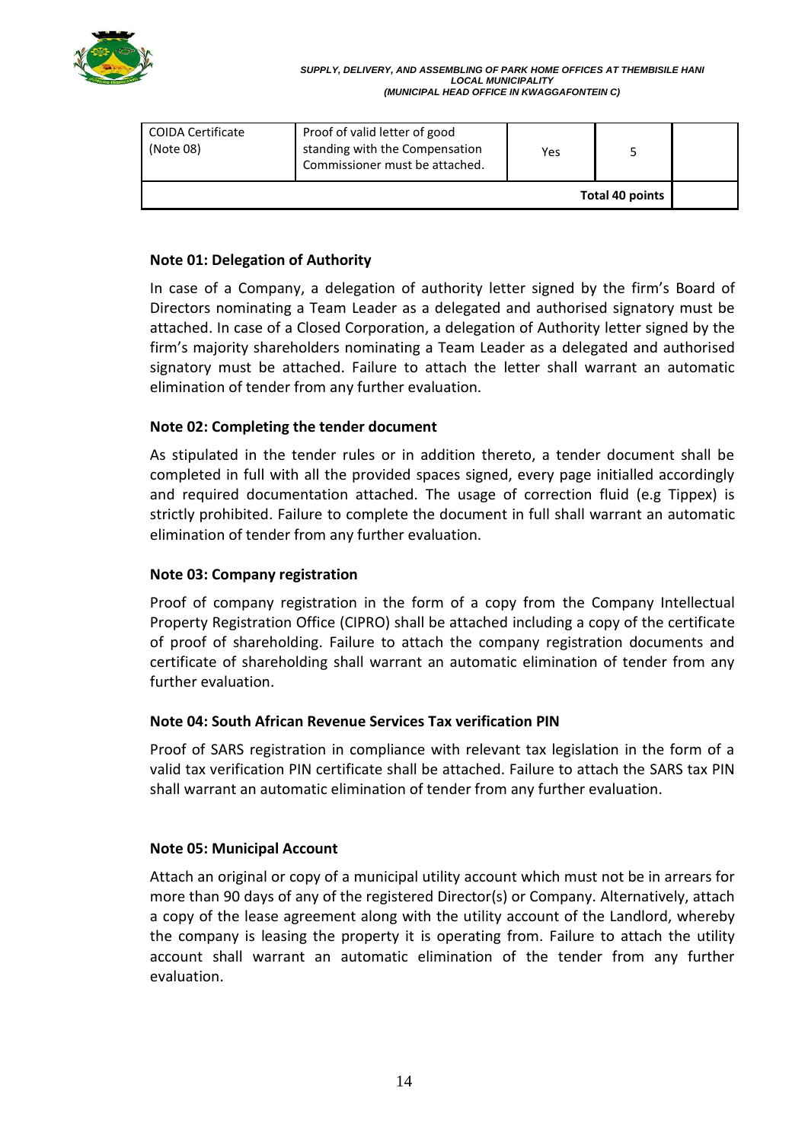

| COIDA Certificate<br>(Note 08) | Proof of valid letter of good<br>standing with the Compensation<br>Commissioner must be attached. | Yes |  |  |
|--------------------------------|---------------------------------------------------------------------------------------------------|-----|--|--|
| Total 40 points                |                                                                                                   |     |  |  |

#### **Note 01: Delegation of Authority**

In case of a Company, a delegation of authority letter signed by the firm's Board of Directors nominating a Team Leader as a delegated and authorised signatory must be attached. In case of a Closed Corporation, a delegation of Authority letter signed by the firm's majority shareholders nominating a Team Leader as a delegated and authorised signatory must be attached. Failure to attach the letter shall warrant an automatic elimination of tender from any further evaluation.

## **Note 02: Completing the tender document**

As stipulated in the tender rules or in addition thereto, a tender document shall be completed in full with all the provided spaces signed, every page initialled accordingly and required documentation attached. The usage of correction fluid (e.g Tippex) is strictly prohibited. Failure to complete the document in full shall warrant an automatic elimination of tender from any further evaluation.

#### **Note 03: Company registration**

Proof of company registration in the form of a copy from the Company Intellectual Property Registration Office (CIPRO) shall be attached including a copy of the certificate of proof of shareholding. Failure to attach the company registration documents and certificate of shareholding shall warrant an automatic elimination of tender from any further evaluation.

#### **Note 04: South African Revenue Services Tax verification PIN**

Proof of SARS registration in compliance with relevant tax legislation in the form of a valid tax verification PIN certificate shall be attached. Failure to attach the SARS tax PIN shall warrant an automatic elimination of tender from any further evaluation.

#### **Note 05: Municipal Account**

Attach an original or copy of a municipal utility account which must not be in arrears for more than 90 days of any of the registered Director(s) or Company. Alternatively, attach a copy of the lease agreement along with the utility account of the Landlord, whereby the company is leasing the property it is operating from. Failure to attach the utility account shall warrant an automatic elimination of the tender from any further evaluation.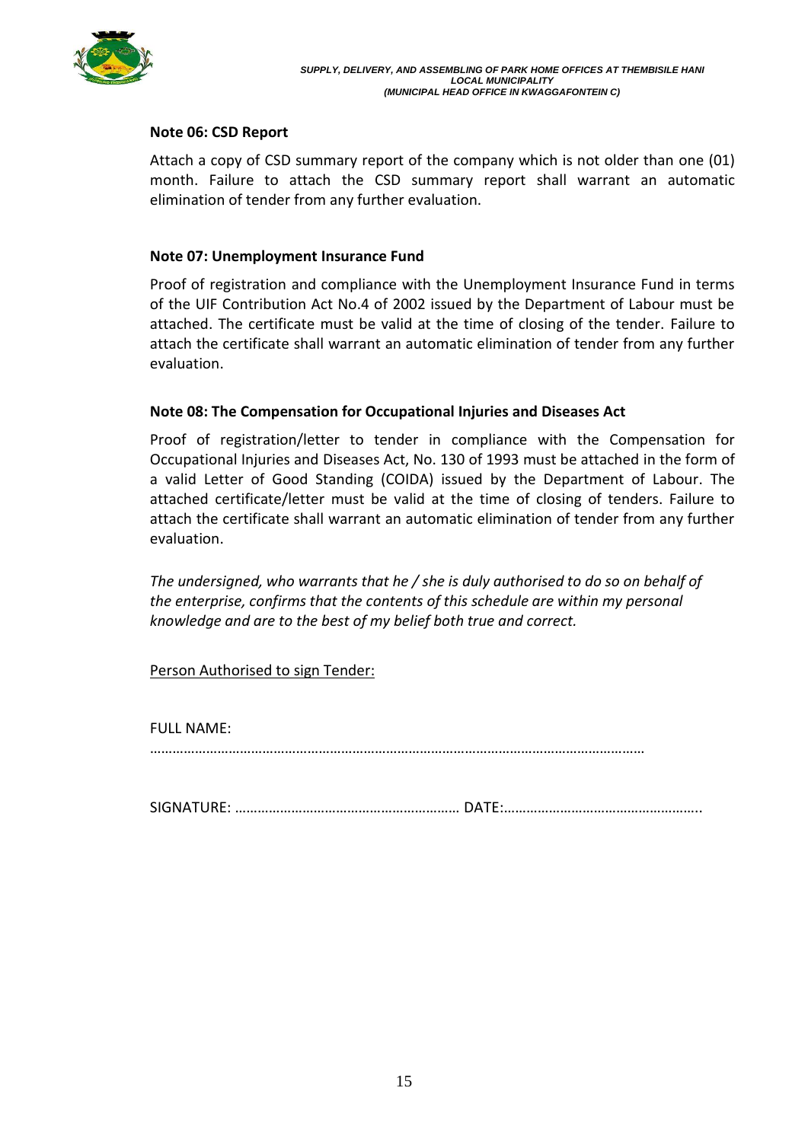

### **Note 06: CSD Report**

Attach a copy of CSD summary report of the company which is not older than one (01) month. Failure to attach the CSD summary report shall warrant an automatic elimination of tender from any further evaluation.

### **Note 07: Unemployment Insurance Fund**

Proof of registration and compliance with the Unemployment Insurance Fund in terms of the UIF Contribution Act No.4 of 2002 issued by the Department of Labour must be attached. The certificate must be valid at the time of closing of the tender. Failure to attach the certificate shall warrant an automatic elimination of tender from any further evaluation.

## **Note 08: The Compensation for Occupational Injuries and Diseases Act**

Proof of registration/letter to tender in compliance with the Compensation for Occupational Injuries and Diseases Act, No. 130 of 1993 must be attached in the form of a valid Letter of Good Standing (COIDA) issued by the Department of Labour. The attached certificate/letter must be valid at the time of closing of tenders. Failure to attach the certificate shall warrant an automatic elimination of tender from any further evaluation.

*The undersigned, who warrants that he / she is duly authorised to do so on behalf of the enterprise, confirms that the contents of this schedule are within my personal knowledge and are to the best of my belief both true and correct.*

Person Authorised to sign Tender:

FULL NAME:

……………………………………………………………………………………………………………………

SIGNATURE: …………………………………………………… DATE:……………………………………………..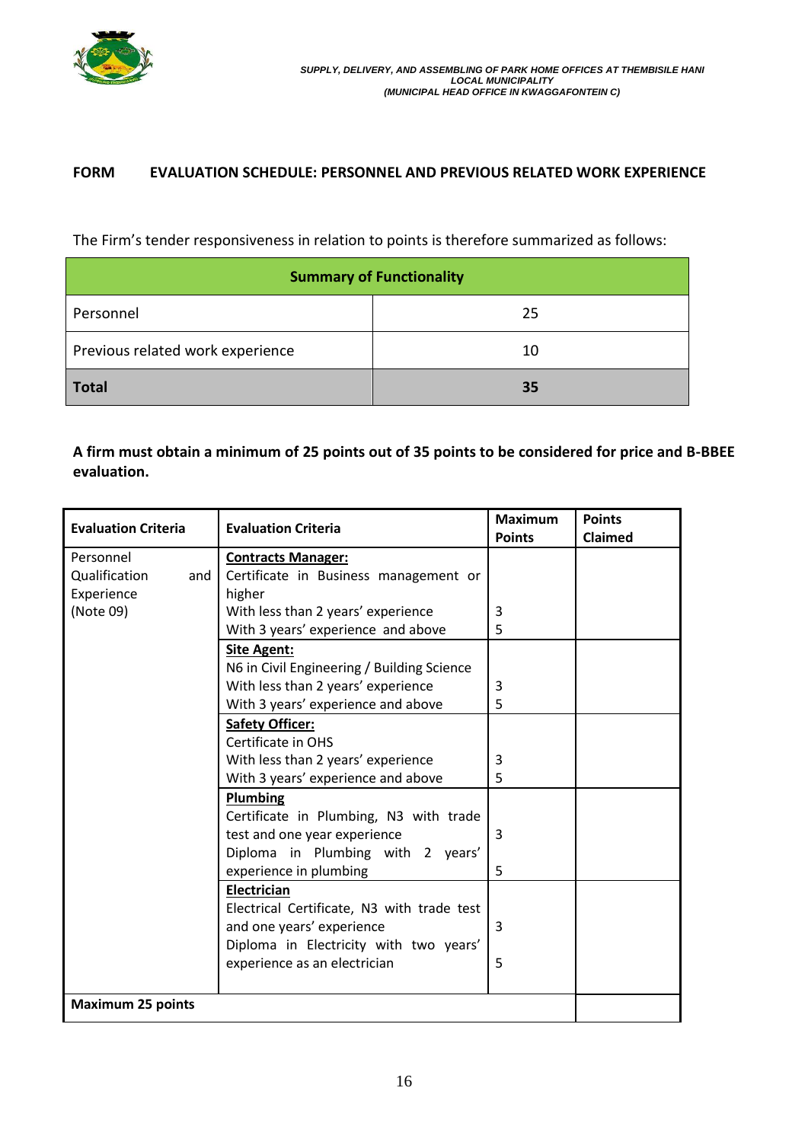

### **FORM EVALUATION SCHEDULE: PERSONNEL AND PREVIOUS RELATED WORK EXPERIENCE**

The Firm's tender responsiveness in relation to points is therefore summarized as follows:

| <b>Summary of Functionality</b>  |    |  |  |
|----------------------------------|----|--|--|
| Personnel                        | 25 |  |  |
| Previous related work experience | 10 |  |  |
| <b>Total</b>                     | 35 |  |  |

# **A firm must obtain a minimum of 25 points out of 35 points to be considered for price and B-BBEE evaluation.**

| <b>Evaluation Criteria</b> | <b>Evaluation Criteria</b>                 | <b>Maximum</b> | <b>Points</b> |
|----------------------------|--------------------------------------------|----------------|---------------|
|                            |                                            | <b>Points</b>  | Claimed       |
| Personnel                  | <b>Contracts Manager:</b>                  |                |               |
| Qualification<br>and       | Certificate in Business management or      |                |               |
| Experience                 | higher                                     |                |               |
| (Note 09)                  | With less than 2 years' experience         | 3              |               |
|                            | With 3 years' experience and above         | 5              |               |
|                            | <b>Site Agent:</b>                         |                |               |
|                            | N6 in Civil Engineering / Building Science |                |               |
|                            | With less than 2 years' experience         | 3              |               |
|                            | With 3 years' experience and above         | 5              |               |
|                            | <b>Safety Officer:</b>                     |                |               |
|                            | Certificate in OHS                         |                |               |
|                            | With less than 2 years' experience         | 3              |               |
|                            | With 3 years' experience and above         | 5              |               |
|                            | Plumbing                                   |                |               |
|                            | Certificate in Plumbing, N3 with trade     |                |               |
|                            | test and one year experience               | 3              |               |
|                            | Diploma in Plumbing with 2 years'          |                |               |
|                            | experience in plumbing                     | 5              |               |
|                            | Electrician                                |                |               |
|                            | Electrical Certificate, N3 with trade test |                |               |
|                            | and one years' experience                  | 3              |               |
|                            | Diploma in Electricity with two years'     |                |               |
|                            | experience as an electrician               | 5              |               |
|                            |                                            |                |               |
| <b>Maximum 25 points</b>   |                                            |                |               |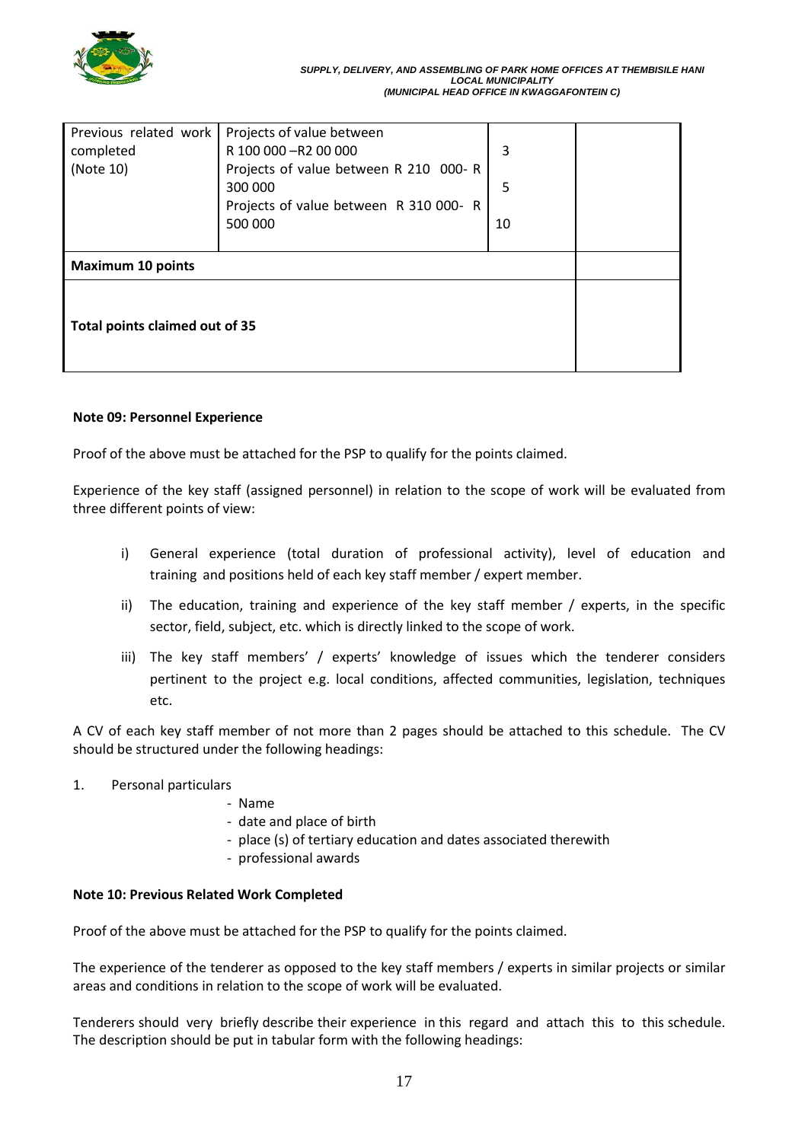

| Previous related work          | Projects of value between              |    |  |
|--------------------------------|----------------------------------------|----|--|
| completed                      | R 100 000 - R2 00 000                  | 3  |  |
| (Note 10)                      | Projects of value between R 210 000- R |    |  |
|                                | 300 000                                | 5  |  |
|                                | Projects of value between R 310 000-R  |    |  |
|                                | 500 000                                | 10 |  |
|                                |                                        |    |  |
| <b>Maximum 10 points</b>       |                                        |    |  |
| Total points claimed out of 35 |                                        |    |  |

#### **Note 09: Personnel Experience**

Proof of the above must be attached for the PSP to qualify for the points claimed.

Experience of the key staff (assigned personnel) in relation to the scope of work will be evaluated from three different points of view:

- i) General experience (total duration of professional activity), level of education and training and positions held of each key staff member / expert member.
- ii) The education, training and experience of the key staff member  $/$  experts, in the specific sector, field, subject, etc. which is directly linked to the scope of work.
- iii) The key staff members' / experts' knowledge of issues which the tenderer considers pertinent to the project e.g. local conditions, affected communities, legislation, techniques etc.

A CV of each key staff member of not more than 2 pages should be attached to this schedule. The CV should be structured under the following headings:

- 1. Personal particulars
	- Name
		- date and place of birth
	- place (s) of tertiary education and dates associated therewith
	- professional awards

#### **Note 10: Previous Related Work Completed**

Proof of the above must be attached for the PSP to qualify for the points claimed.

The experience of the tenderer as opposed to the key staff members / experts in similar projects or similar areas and conditions in relation to the scope of work will be evaluated.

Tenderers should very briefly describe their experience in this regard and attach this to this schedule. The description should be put in tabular form with the following headings: